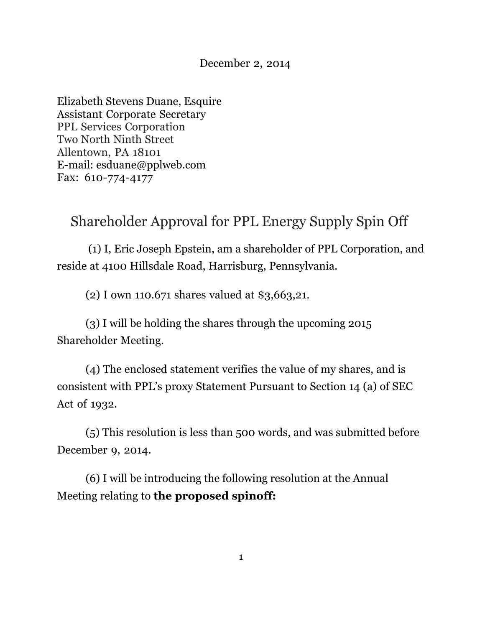#### December 2, 2014

Elizabeth Stevens Duane, Esquire Assistant Corporate Secretary PPL Services Corporation Two North Ninth Street Allentown, PA 18101 E-mail: esduane@pplweb.com Fax: 610-774-4177

# Shareholder Approval for PPL Energy Supply Spin Off

 (1) I, Eric Joseph Epstein, am a shareholder of PPL Corporation, and reside at 4100 Hillsdale Road, Harrisburg, Pennsylvania.

(2) I own 110.671 shares valued at \$3,663,21.

(3) I will be holding the shares through the upcoming 2015 Shareholder Meeting.

 (4) The enclosed statement verifies the value of my shares, and is consistent with PPL's proxy Statement Pursuant to Section 14 (a) of SEC Act of 1932.

(5) This resolution is less than 500 words, and was submitted before December 9, 2014.

(6) I will be introducing the following resolution at the Annual Meeting relating to **the proposed spinoff:**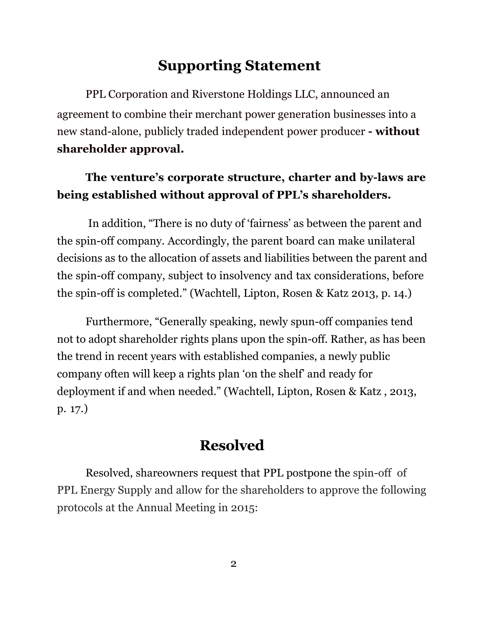## **Supporting Statement**

PPL Corporation and Riverstone Holdings LLC, announced an agreement to combine their merchant power generation businesses into a new stand-alone, publicly traded independent power producer **- without shareholder approval.** 

#### **The venture's corporate structure, charter and by-laws are being established without approval of PPL's shareholders.**

In addition, "There is no duty of 'fairness' as between the parent and the spin-off company. Accordingly, the parent board can make unilateral decisions as to the allocation of assets and liabilities between the parent and the spin-off company, subject to insolvency and tax considerations, before the spin-off is completed." (Wachtell, Lipton, Rosen & Katz 2013, p. 14.)

Furthermore, "Generally speaking, newly spun-off companies tend not to adopt shareholder rights plans upon the spin-off. Rather, as has been the trend in recent years with established companies, a newly public company often will keep a rights plan 'on the shelf' and ready for deployment if and when needed." (Wachtell, Lipton, Rosen & Katz , 2013, p. 17.)

### **Resolved**

Resolved, shareowners request that PPL postpone the spin-off of PPL Energy Supply and allow for the shareholders to approve the following protocols at the Annual Meeting in 2015: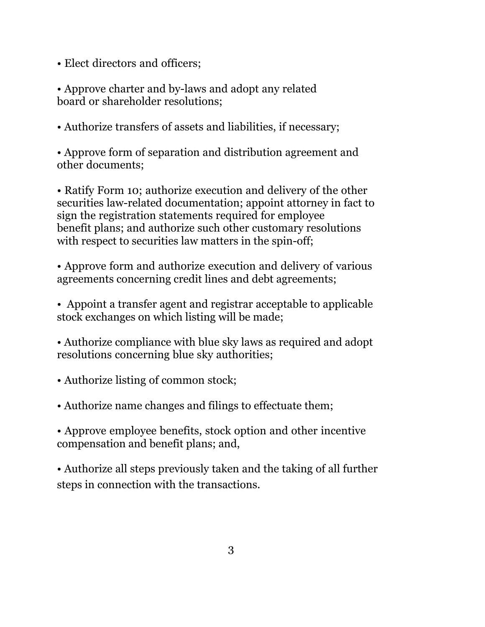- Elect directors and officers;
- Approve charter and by-laws and adopt any related board or shareholder resolutions;
- Authorize transfers of assets and liabilities, if necessary;

• Approve form of separation and distribution agreement and other documents;

• Ratify Form 10; authorize execution and delivery of the other securities law-related documentation; appoint attorney in fact to sign the registration statements required for employee benefit plans; and authorize such other customary resolutions with respect to securities law matters in the spin-off;

• Approve form and authorize execution and delivery of various agreements concerning credit lines and debt agreements;

• Appoint a transfer agent and registrar acceptable to applicable stock exchanges on which listing will be made;

• Authorize compliance with blue sky laws as required and adopt resolutions concerning blue sky authorities;

• Authorize listing of common stock;

• Authorize name changes and filings to effectuate them;

• Approve employee benefits, stock option and other incentive compensation and benefit plans; and,

• Authorize all steps previously taken and the taking of all further steps in connection with the transactions.